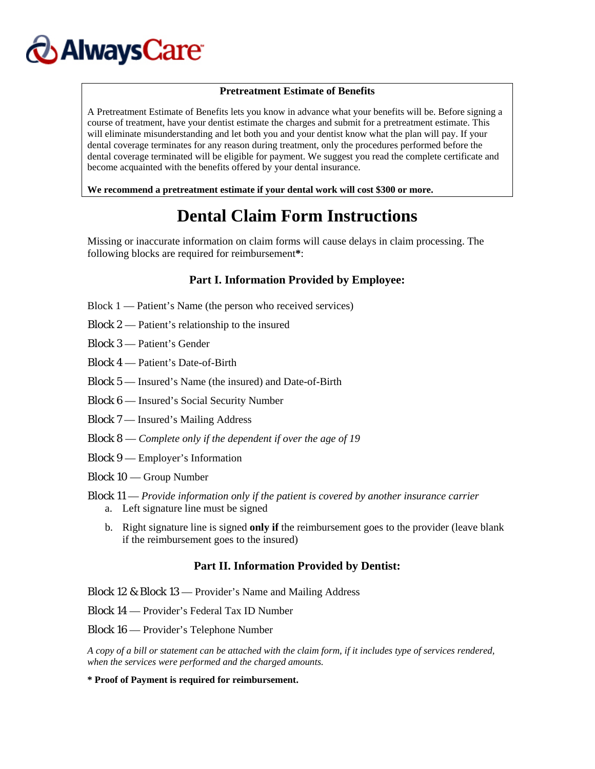# **AlwaysCare**

#### **Pretreatment Estimate of Benefits**

A Pretreatment Estimate of Benefits lets you know in advance what your benefits will be. Before signing a course of treatment, have your dentist estimate the charges and submit for a pretreatment estimate. This will eliminate misunderstanding and let both you and your dentist know what the plan will pay. If your dental coverage terminates for any reason during treatment, only the procedures performed before the dental coverage terminated will be eligible for payment. We suggest you read the complete certificate and become acquainted with the benefits offered by your dental insurance.

**We recommend a pretreatment estimate if your dental work will cost \$300 or more.** 

## **Dental Claim Form Instructions**

Missing or inaccurate information on claim forms will cause delays in claim processing. The following blocks are required for reimbursement**\***:

### **Part I. Information Provided by Employee:**

- Block 1 Patient's Name (the person who received services)
- Block 2 Patient's relationship to the insured

Block 3 — Patient's Gender

- Block 4 Patient's Date-of-Birth
- Block 5 Insured's Name (the insured) and Date-of-Birth
- Block 6 Insured's Social Security Number
- Block 7 Insured's Mailing Address
- Block 8 *Complete only if the dependent if over the age of 19*
- Block 9 Employer's Information
- Block 10 Group Number
- Block 11 *Provide information only if the patient is covered by another insurance carrier*  a. Left signature line must be signed
	- b. Right signature line is signed **only if** the reimbursement goes to the provider (leave blank if the reimbursement goes to the insured)

### **Part II. Information Provided by Dentist:**

Block 12 & Block 13 — Provider's Name and Mailing Address

Block 14 — Provider's Federal Tax ID Number

Block 16 — Provider's Telephone Number

*A copy of a bill or statement can be attached with the claim form, if it includes type of services rendered, when the services were performed and the charged amounts.* 

**\* Proof of Payment is required for reimbursement.**